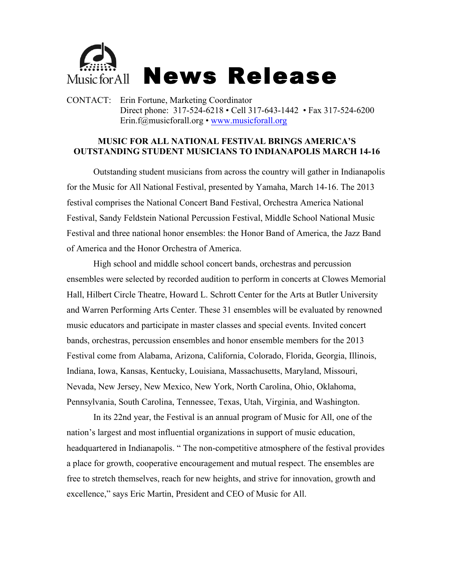

CONTACT: Erin Fortune, Marketing Coordinator Direct phone: 317-524-6218 • Cell 317-643-1442 • Fax 317-524-6200 Erin.f@musicforall.org • www.musicforall.org

## **MUSIC FOR ALL NATIONAL FESTIVAL BRINGS AMERICA'S OUTSTANDING STUDENT MUSICIANS TO INDIANAPOLIS MARCH 14-16**

Outstanding student musicians from across the country will gather in Indianapolis for the Music for All National Festival, presented by Yamaha, March 14-16. The 2013 festival comprises the National Concert Band Festival, Orchestra America National Festival, Sandy Feldstein National Percussion Festival, Middle School National Music Festival and three national honor ensembles: the Honor Band of America, the Jazz Band of America and the Honor Orchestra of America.

High school and middle school concert bands, orchestras and percussion ensembles were selected by recorded audition to perform in concerts at Clowes Memorial Hall, Hilbert Circle Theatre, Howard L. Schrott Center for the Arts at Butler University and Warren Performing Arts Center. These 31 ensembles will be evaluated by renowned music educators and participate in master classes and special events. Invited concert bands, orchestras, percussion ensembles and honor ensemble members for the 2013 Festival come from Alabama, Arizona, California, Colorado, Florida, Georgia, Illinois, Indiana, Iowa, Kansas, Kentucky, Louisiana, Massachusetts, Maryland, Missouri, Nevada, New Jersey, New Mexico, New York, North Carolina, Ohio, Oklahoma, Pennsylvania, South Carolina, Tennessee, Texas, Utah, Virginia, and Washington.

In its 22nd year, the Festival is an annual program of Music for All, one of the nation's largest and most influential organizations in support of music education, headquartered in Indianapolis. " The non-competitive atmosphere of the festival provides a place for growth, cooperative encouragement and mutual respect. The ensembles are free to stretch themselves, reach for new heights, and strive for innovation, growth and excellence," says Eric Martin, President and CEO of Music for All.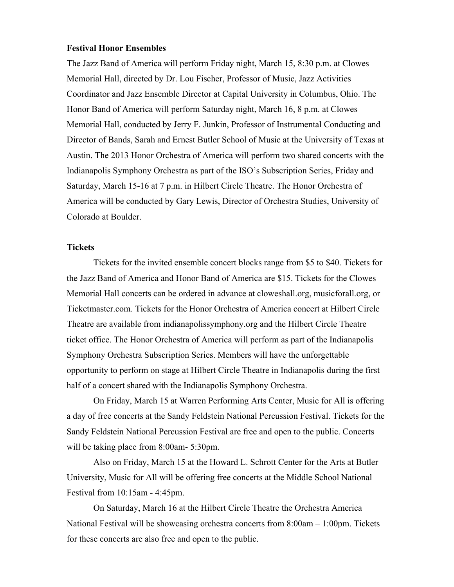## **Festival Honor Ensembles**

The Jazz Band of America will perform Friday night, March 15, 8:30 p.m. at Clowes Memorial Hall, directed by Dr. Lou Fischer, Professor of Music, Jazz Activities Coordinator and Jazz Ensemble Director at Capital University in Columbus, Ohio. The Honor Band of America will perform Saturday night, March 16, 8 p.m. at Clowes Memorial Hall, conducted by Jerry F. Junkin, Professor of Instrumental Conducting and Director of Bands, Sarah and Ernest Butler School of Music at the University of Texas at Austin. The 2013 Honor Orchestra of America will perform two shared concerts with the Indianapolis Symphony Orchestra as part of the ISO's Subscription Series, Friday and Saturday, March 15-16 at 7 p.m. in Hilbert Circle Theatre. The Honor Orchestra of America will be conducted by Gary Lewis, Director of Orchestra Studies, University of Colorado at Boulder.

## **Tickets**

Tickets for the invited ensemble concert blocks range from \$5 to \$40. Tickets for the Jazz Band of America and Honor Band of America are \$15. Tickets for the Clowes Memorial Hall concerts can be ordered in advance at cloweshall.org, musicforall.org, or Ticketmaster.com. Tickets for the Honor Orchestra of America concert at Hilbert Circle Theatre are available from indianapolissymphony.org and the Hilbert Circle Theatre ticket office. The Honor Orchestra of America will perform as part of the Indianapolis Symphony Orchestra Subscription Series. Members will have the unforgettable opportunity to perform on stage at Hilbert Circle Theatre in Indianapolis during the first half of a concert shared with the Indianapolis Symphony Orchestra.

On Friday, March 15 at Warren Performing Arts Center, Music for All is offering a day of free concerts at the Sandy Feldstein National Percussion Festival. Tickets for the Sandy Feldstein National Percussion Festival are free and open to the public. Concerts will be taking place from 8:00am- 5:30pm.

Also on Friday, March 15 at the Howard L. Schrott Center for the Arts at Butler University, Music for All will be offering free concerts at the Middle School National Festival from 10:15am - 4:45pm.

On Saturday, March 16 at the Hilbert Circle Theatre the Orchestra America National Festival will be showcasing orchestra concerts from 8:00am – 1:00pm. Tickets for these concerts are also free and open to the public.